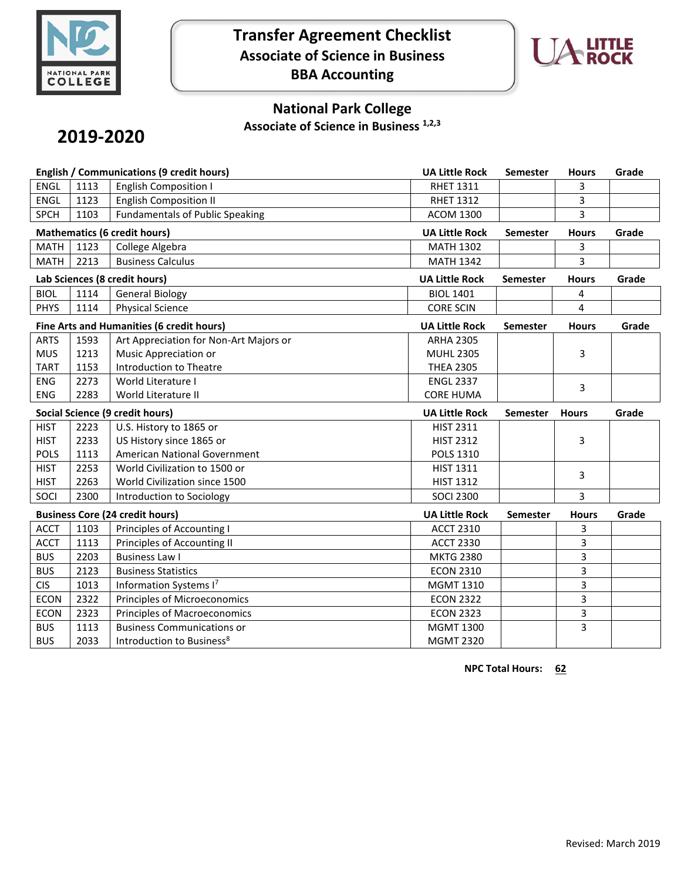

## **Transfer Agreement Checklist Associate of Science in Business BBA Accounting**



### **National Park College**

**Associate of Science in Business 1,2,3**

# **2019-2020**

| English / Communications (9 credit hours) |      |                                        | <b>UA Little Rock</b> | Semester        | <b>Hours</b> | Grade |
|-------------------------------------------|------|----------------------------------------|-----------------------|-----------------|--------------|-------|
| <b>ENGL</b>                               | 1113 | <b>English Composition I</b>           | <b>RHET 1311</b>      |                 | 3            |       |
| <b>ENGL</b>                               | 1123 | <b>English Composition II</b>          | <b>RHET 1312</b>      |                 | 3            |       |
| <b>SPCH</b>                               | 1103 | <b>Fundamentals of Public Speaking</b> | <b>ACOM 1300</b>      |                 | 3            |       |
| <b>Mathematics (6 credit hours)</b>       |      |                                        | <b>UA Little Rock</b> | Semester        | <b>Hours</b> | Grade |
| <b>MATH</b>                               | 1123 | College Algebra                        | <b>MATH 1302</b>      |                 | 3            |       |
| <b>MATH</b>                               | 2213 | <b>Business Calculus</b>               | <b>MATH 1342</b>      |                 | 3            |       |
| Lab Sciences (8 credit hours)             |      |                                        | <b>UA Little Rock</b> | <b>Semester</b> | <b>Hours</b> | Grade |
| <b>BIOL</b>                               | 1114 | <b>General Biology</b>                 | <b>BIOL 1401</b>      |                 | 4            |       |
| <b>PHYS</b>                               | 1114 | <b>Physical Science</b>                | <b>CORE SCIN</b>      |                 | 4            |       |
| Fine Arts and Humanities (6 credit hours) |      |                                        | <b>UA Little Rock</b> | <b>Semester</b> | <b>Hours</b> | Grade |
| <b>ARTS</b>                               | 1593 | Art Appreciation for Non-Art Majors or | <b>ARHA 2305</b>      |                 |              |       |
| <b>MUS</b>                                | 1213 | Music Appreciation or                  | <b>MUHL 2305</b>      |                 | 3            |       |
| <b>TART</b>                               | 1153 | <b>Introduction to Theatre</b>         | <b>THEA 2305</b>      |                 |              |       |
| <b>ENG</b>                                | 2273 | World Literature I                     | <b>ENGL 2337</b>      |                 | 3            |       |
| <b>ENG</b>                                | 2283 | World Literature II                    | <b>CORE HUMA</b>      |                 |              |       |
| <b>Social Science (9 credit hours)</b>    |      |                                        |                       |                 |              |       |
|                                           |      |                                        | <b>UA Little Rock</b> | <b>Semester</b> | <b>Hours</b> | Grade |
| <b>HIST</b>                               | 2223 | U.S. History to 1865 or                | <b>HIST 2311</b>      |                 |              |       |
| <b>HIST</b>                               | 2233 | US History since 1865 or               | <b>HIST 2312</b>      |                 | 3            |       |
| <b>POLS</b>                               | 1113 | American National Government           | <b>POLS 1310</b>      |                 |              |       |
| <b>HIST</b>                               | 2253 | World Civilization to 1500 or          | <b>HIST 1311</b>      |                 |              |       |
| <b>HIST</b>                               | 2263 | World Civilization since 1500          | <b>HIST 1312</b>      |                 | 3            |       |
| SOCI                                      | 2300 | Introduction to Sociology              | <b>SOCI 2300</b>      |                 | 3            |       |
|                                           |      | <b>Business Core (24 credit hours)</b> | <b>UA Little Rock</b> | <b>Semester</b> | <b>Hours</b> | Grade |
| <b>ACCT</b>                               | 1103 | Principles of Accounting I             | <b>ACCT 2310</b>      |                 | 3            |       |
| <b>ACCT</b>                               | 1113 | Principles of Accounting II            | <b>ACCT 2330</b>      |                 | 3            |       |
| <b>BUS</b>                                | 2203 | <b>Business Law I</b>                  | <b>MKTG 2380</b>      |                 | 3            |       |
| <b>BUS</b>                                | 2123 | <b>Business Statistics</b>             | <b>ECON 2310</b>      |                 | 3            |       |
| <b>CIS</b>                                | 1013 | Information Systems I7                 | <b>MGMT 1310</b>      |                 | 3            |       |
| <b>ECON</b>                               | 2322 | Principles of Microeconomics           | <b>ECON 2322</b>      |                 | 3            |       |
| <b>ECON</b>                               | 2323 | Principles of Macroeconomics           | <b>ECON 2323</b>      |                 | 3            |       |
| <b>BUS</b>                                | 1113 | <b>Business Communications or</b>      | <b>MGMT 1300</b>      |                 | 3            |       |

**NPC Total Hours: 62**